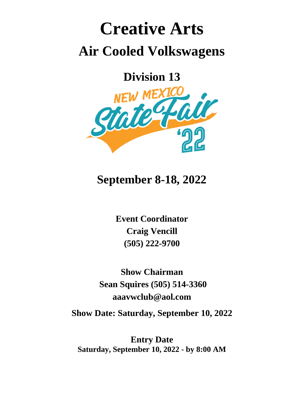# **Creative Arts Air Cooled Volkswagens**

**Division 13**



## **September 8-18, 2022**

**Event Coordinator Craig Vencill (505) 222-9700**

**Show Chairman Sean Squires (505) 514-3360 aaavwclub@aol.com**

**Show Date: Saturday, September 10, 2022**

**Entry Date Saturday, September 10, 2022 - by 8:00 AM**